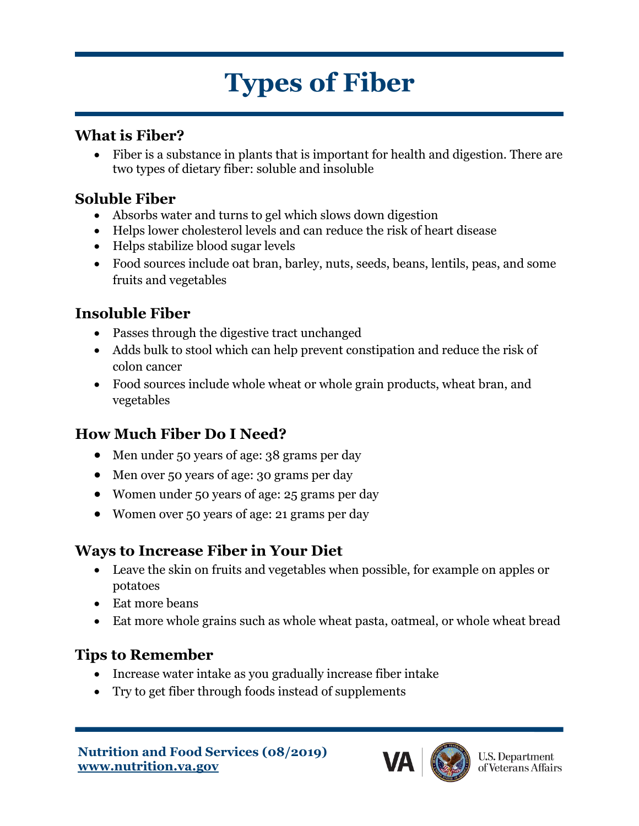# **Types of Fiber**

#### **What is Fiber?**

• Fiber is a substance in plants that is important for health and digestion. There are two types of dietary fiber: soluble and insoluble

# **Soluble Fiber**

- Absorbs water and turns to gel which slows down digestion
- Helps lower cholesterol levels and can reduce the risk of heart disease
- Helps stabilize blood sugar levels
- Food sources include oat bran, barley, nuts, seeds, beans, lentils, peas, and some fruits and vegetables

# **Insoluble Fiber**

- Passes through the digestive tract unchanged
- Adds bulk to stool which can help prevent constipation and reduce the risk of colon cancer
- Food sources include whole wheat or whole grain products, wheat bran, and vegetables

# **How Much Fiber Do I Need?**

- Men under 50 years of age: 38 grams per day
- Men over 50 years of age: 30 grams per day
- Women under 50 years of age: 25 grams per day
- Women over 50 years of age: 21 grams per day

#### **Ways to Increase Fiber in Your Diet**

- Leave the skin on fruits and vegetables when possible, for example on apples or potatoes
- Eat more beans
- Eat more whole grains such as whole wheat pasta, oatmeal, or whole wheat bread

# **Tips to Remember**

- Increase water intake as you gradually increase fiber intake
- Try to get fiber through foods instead of supplements